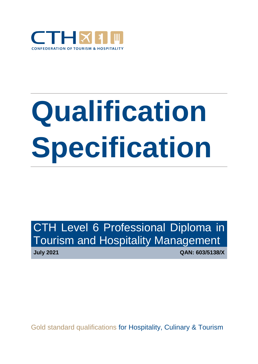

# **Qualification Specification**

CTH Level 6 Professional Diploma in Tourism and Hospitality Management

**July 2021 QAN: 603/5138/X**

Gold standard qualifications for Hospitality, Culinary & Tourism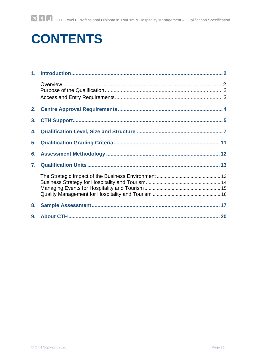# **CONTENTS**

| 3. |  |
|----|--|
| 4. |  |
| 5. |  |
|    |  |
| 7. |  |
|    |  |
| 8. |  |
|    |  |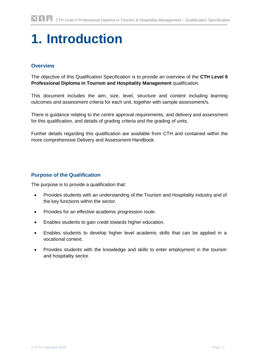# <span id="page-2-0"></span>**1. Introduction**

# **Overview**

The objective of this Qualification Specification is to provide an overview of the **CTH Level 6 Professional Diploma in Tourism and Hospitality Management** qualification.

This document includes the aim, size, level, structure and content including learning outcomes and assessment criteria for each unit, together with sample assessment/s.

There is guidance relating to the centre approval requirements, and delivery and assessment for this qualification, and details of grading criteria and the grading of units.

Further details regarding this qualification are available from CTH and contained within the more comprehensive Delivery and Assessment Handbook.

### **Purpose of the Qualification**

The purpose is to provide a qualification that:

- Provides students with an understanding of the Tourism and Hospitality industry and of the key functions within the sector.
- Provides for an effective academic progression route.
- Enables students to gain credit towards higher education.
- Enables students to develop higher level academic skills that can be applied in a vocational context.
- Provides students with the knowledge and skills to enter employment in the tourism and hospitality sector.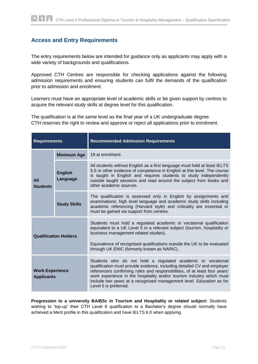# **Access and Entry Requirements**

The entry requirements below are intended for guidance only as applicants may apply with a wide variety of backgrounds and qualifications.

Approved CTH Centres are responsible for checking applications against the following admission requirements and ensuring students can fulfil the demands of the qualification prior to admission and enrolment.

Learners must have an appropriate level of academic skills or be given support by centres to acquire the relevant study skills at degree level for this qualification.

The qualification is at the same level as the final year of a UK undergraduate degree. CTH reserves the right to review and approve or reject all applications prior to enrolment.

| <b>Requirements</b>                         |                            | <b>Recommended Admission Requirements</b>                                                                                                                                                                                                                                                                                                                                                      |
|---------------------------------------------|----------------------------|------------------------------------------------------------------------------------------------------------------------------------------------------------------------------------------------------------------------------------------------------------------------------------------------------------------------------------------------------------------------------------------------|
|                                             | <b>Minimum Age</b>         | 19 at enrolment.                                                                                                                                                                                                                                                                                                                                                                               |
| <b>All</b><br><b>Students</b>               | <b>English</b><br>Language | All students without English as a first language must hold at least IELTS<br>5.5 or other evidence of competence in English at this level. The course<br>is taught in English and requires students to study independently<br>outside taught sessions and read around the subject from books and<br>other academic sources.                                                                    |
|                                             | <b>Study Skills</b>        | The qualification is assessed only in English by assignments and<br>examinations; high level language and academic study skills including<br>academic referencing (Harvard style) and criticality are essential or<br>must be gained via support from centres.                                                                                                                                 |
| <b>Qualification Holders</b>                |                            | Students must hold a regulated academic or vocational qualification<br>equivalent to a UK Level 5 in a relevant subject (tourism, hospitality or<br>business management related studies).<br>Equivalence of recognised qualifications outside the UK to be evaluated<br>through UK ENIC (formerly known as NARIC).                                                                             |
| <b>Work Experience</b><br><b>Applicants</b> |                            | Students who do not hold a regulated academic or vocational<br>qualification must provide evidence, including detailed CV and employer<br>reference/s confirming roles and responsibilities, of at least four years'<br>work experience in the hospitality and/or tourism industry which must<br>include two years at a recognised management level. Education as for<br>Level 5 is preferred. |

**Progression to a university BA/BSc in Tourism and Hospitality or related subject:** Students wishing to 'top-up' their CTH Level 6 qualification to a Bachelor's degree should normally have achieved a Merit profile in this qualification and have IELTS 6.0 when applying.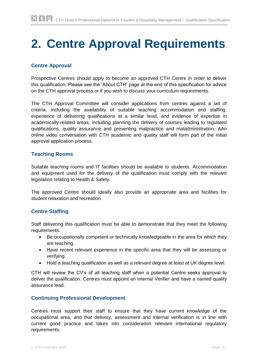# <span id="page-4-0"></span>**2. Centre Approval Requirements**

# **Centre Approval**

Prospective Centres should apply to become an approved CTH Centre in order to deliver this qualification. Please see the 'About CTH' page at the end of this specification for advice on the CTH approval process or if you wish to discuss your curriculum requirements.

The CTH Approval Committee will consider applications from centres against a set of criteria, including the availability of suitable teaching accommodation and staffing, experience of delivering qualifications at a similar level, and evidence of expertise in academically-related areas, including planning the delivery of courses leading to regulated qualifications, quality assurance and preventing malpractice and maladministration. AAn online video conversation with CTH academic and quality staff will form part of the initial approval application process.

#### **Teaching Rooms**

Suitable teaching rooms and IT facilities should be available to students. Accommodation and equipment used for the delivery of the qualification must comply with the relevant legislation relating to Health & Safety.

The approved Centre should ideally also provide an appropriate area and facilities for student relaxation and recreation.

#### **Centre Staffing**

Staff delivering this qualification must be able to demonstrate that they meet the following requirements:

- Be occupationally competent or technically knowledgeable in the area for which they are teaching.
- Have recent relevant experience in the specific area that they will be assessing or verifying.
- Hold a teaching qualification as well as a relevant degree at least at UK degree level.

CTH will review the CV's of all teaching staff when a potential Centre seeks approval to deliver the qualification. Centres must appoint an Internal Verifier and have a named quality assurance lead.

#### **Continuing Professional Development**

Centres must support their staff to ensure that they have current knowledge of the occupational area, and that delivery, assessment and internal verification is in line with current good practice and takes into consideration relevant international regulatory requirements.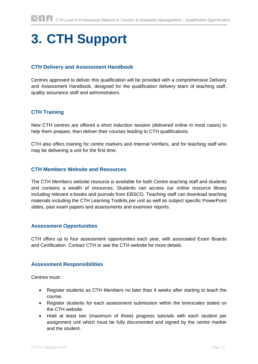# <span id="page-5-0"></span>**3. CTH Support**

### **CTH Delivery and Assessment Handbook**

Centres approved to deliver this qualification will be provided with a comprehensive Delivery and Assessment Handbook, designed for the qualification delivery team of teaching staff, quality assurance staff and administrators.

### **CTH Training**

New CTH centres are offered a short induction session (delivered online in most cases) to help them prepare, then deliver their courses leading to CTH qualifications.

CTH also offers training for centre markers and Internal Verifiers, and for teaching staff who may be delivering a unit for the first time.

#### **CTH Members Website and Resources**

The CTH Members website resource is available for both Centre teaching staff and students and contains a wealth of resources. Students can access our online resource library including relevant e-books and journals from EBSCO. Teaching staff can download teaching materials including the CTH Learning Toolkits per unit as well as subject specific PowerPoint slides, past exam papers and assessments and examiner reports.

#### **Assessment Opportunities**

CTH offers up to four assessment opportunities each year, with associated Exam Boards and Certification. Contact CTH or see the CTH website for more details.

#### **Assessment Responsibilities**

Centres must:

- Register students as CTH Members no later than 4 weeks after starting to teach the course.
- Register students for each assessment submission within the timescales stated on the CTH website.
- Hold at least two (maximum of three) progress tutorials with each student per assignment unit which must be fully documented and signed by the centre marker and the student.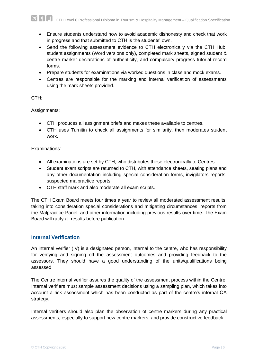- Ensure students understand how to avoid academic dishonesty and check that work in progress and that submitted to CTH is the students' own.
- Send the following assessment evidence to CTH electronically via the CTH Hub: student assignments (Word versions only), completed mark sheets, signed student & centre marker declarations of authenticity, and compulsory progress tutorial record forms.
- Prepare students for examinations via worked questions in class and mock exams.
- Centres are responsible for the marking and internal verification of assessments using the mark sheets provided.

#### CTH:

#### Assignments:

- CTH produces all assignment briefs and makes these available to centres.
- CTH uses Turnitin to check all assignments for similarity, then moderates student work.

#### Examinations:

- All examinations are set by CTH, who distributes these electronically to Centres.
- Student exam scripts are returned to CTH, with attendance sheets, seating plans and any other documentation including special consideration forms, invigilators reports, suspected malpractice reports.
- CTH staff mark and also moderate all exam scripts.

The CTH Exam Board meets four times a year to review all moderated assessment results, taking into consideration special considerations and mitigating circumstances, reports from the Malpractice Panel, and other information including previous results over time. The Exam Board will ratify all results before publication.

#### **Internal Verification**

An internal verifier (IV) is a designated person, internal to the centre, who has responsibility for verifying and signing off the assessment outcomes and providing feedback to the assessors. They should have a good understanding of the units/qualifications being assessed.

The Centre internal verifier assures the quality of the assessment process within the Centre. Internal verifiers must sample assessment decisions using a sampling plan, which takes into account a risk assessment which has been conducted as part of the centre's internal QA strategy.

Internal verifiers should also plan the observation of centre markers during any practical assessments, especially to support new centre markers, and provide constructive feedback.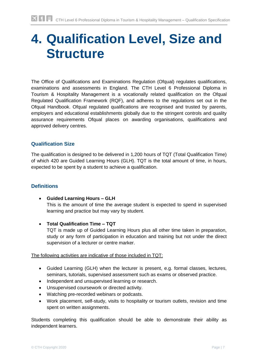# **4. Qualification Level, Size and Structure**

The Office of Qualifications and Examinations Regulation (Ofqual) regulates qualifications, examinations and assessments in England. The CTH Level 6 Professional Diploma in Tourism & Hospitality Management is a vocationally related qualification on the Ofqual Regulated Qualification Framework (RQF), and adheres to the regulations set out in the Ofqual Handbook. Ofqual regulated qualifications are recognised and trusted by parents, employers and educational establishments globally due to the stringent controls and quality assurance requirements Ofqual places on awarding organisations, qualifications and approved delivery centres.

### **Qualification Size**

The qualification is designed to be delivered in 1,200 hours of TQT (Total Qualification Time) of which 420 are Guided Learning Hours (GLH). TQT is the total amount of time, in hours, expected to be spent by a student to achieve a qualification.

### **Definitions**

- **Guided Learning Hours – GLH** This is the amount of time the average student is expected to spend in supervised learning and practice but may vary by student.
- **Total Qualification Time – TQT**  TQT is made up of Guided Learning Hours plus all other time taken in preparation, study or any form of participation in education and training but not under the direct supervision of a lecturer or centre marker.

#### The following activities are indicative of those included in TQT:

- Guided Learning (GLH) when the lecturer is present, e.g. formal classes, lectures, seminars, tutorials, supervised assessment such as exams or observed practice.
- Independent and unsupervised learning or research.
- Unsupervised coursework or directed activity.
- Watching pre-recorded webinars or podcasts.
- Work placement, self-study, visits to hospitality or tourism outlets, revision and time spent on written assignments.

Students completing this qualification should be able to demonstrate their ability as independent learners.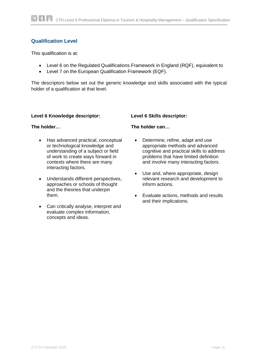# **Qualification Level**

This qualification is at:

- Level 6 on the Regulated Qualifications Framework in England (RQF), equivalent to
- Level 7 on the European Qualification Framework (EQF).

The descriptors below set out the generic knowledge and skills associated with the typical holder of a qualification at that level.

#### **Level 6 Knowledge descriptor:**

#### **The holder…**

- Has advanced practical, conceptual or technological knowledge and understanding of a subject or field of work to create ways forward in contexts where there are many interacting factors.
- Understands different perspectives, approaches or schools of thought and the theories that underpin them.
- Can critically analyse, interpret and evaluate complex information, concepts and ideas.

#### **Level 6 Skills descriptor:**

#### **The holder can…**

- Determine, refine, adapt and use appropriate methods and advanced cognitive and practical skills to address problems that have limited definition and involve many interacting factors.
- Use and, where appropriate, design relevant research and development to inform actions.
- Evaluate actions, methods and results and their implications.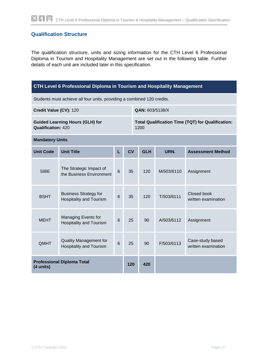# **Qualification Structure**

The qualification structure, units and sizing information for the CTH Level 6 Professional Diploma in Tourism and Hospitality Management are set out in the following table. Further details of each unit are included later in this specification.

# **CTH Level 6 Professional Diploma in Tourism and Hospitality Management** Students must achieve all four units, providing a combined 120 credits. **Credit Value (CV):** 120 **QAN: 603/5138/X Guided Learning Hours (GLH) for Qualification:** 420 **Total Qualification Time (TQT) for Qualification:**  1200 **Mandatory Units Unit Code Unit Title L CV GLH URN. Assessment Method** SIBE The Strategic Impact of the Business Environment 6 35 120 M/503/6110 Assignment Business Strategy for Business Strategy for 6 35 120 T/503/6111 Closed book<br>Hospitality and Tourism 6 35 120 T/503/6111 written exami

| <b>Professional Diploma Total</b><br>(4 units) |                                                                 |   | 120 | 420 |            |                                         |
|------------------------------------------------|-----------------------------------------------------------------|---|-----|-----|------------|-----------------------------------------|
| QMHT                                           | <b>Quality Management for</b><br><b>Hospitality and Tourism</b> | 6 | 25  | 90  | F/503/6113 | Case-study based<br>written examination |
| <b>MEHT</b>                                    | Managing Events for<br><b>Hospitality and Tourism</b>           | 6 | 25  | 90  | A/503/6112 | Assignment                              |
| <b>BSHT</b>                                    | <b>Hospitality and Tourism</b>                                  | 6 | 35  | 120 | T/503/6111 | written examination                     |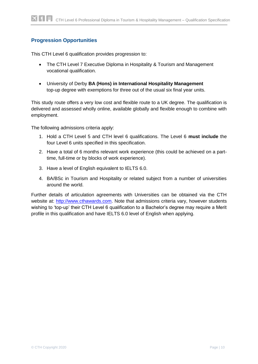# **Progression Opportunities**

This CTH Level 6 qualification provides progression to:

- The CTH Level 7 Executive Diploma in Hospitality & Tourism and Management vocational qualification.
- University of Derby **BA (Hons) in International Hospitality Management**  top-up degree with exemptions for three out of the usual six final year units.

This study route offers a very low cost and flexible route to a UK degree. The qualification is delivered and assessed wholly online, available globally and flexible enough to combine with employment.

The following admissions criteria apply:

- 1. Hold a CTH Level 5 and CTH level 6 qualifications. The Level 6 **must include** the four Level 6 units specified in this specification.
- 2. Have a total of 6 months relevant work experience (this could be achieved on a parttime, full-time or by blocks of work experience).
- 3. Have a level of English equivalent to IELTS 6.0.
- 4. BA/BSc in Tourism and Hospitality or related subject from a number of universities around the world.

Further details of articulation agreements with Universities can be obtained via the CTH website at: [http://www.cthawards.com.](http://www.cthawards.com/) Note that admissions criteria vary, however students wishing to 'top-up' their CTH Level 6 qualification to a Bachelor's degree may require a Merit profile in this qualification and have IELTS 6.0 level of English when applying.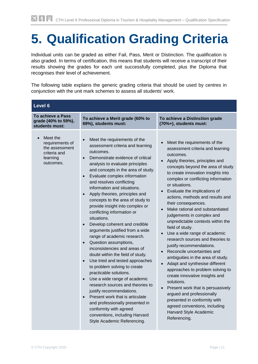# **5. Qualification Grading Criteria**

Individual units can be graded as either Fail, Pass, Merit or Distinction. The qualification is also graded. In terms of certification, this means that students will receive a transcript of their results showing the grades for each unit successfully completed, plus the Diploma that recognises their level of achievement.

The following table explains the generic grading criteria that should be used by centres in conjunction with the unit mark schemes to assess all students' work.

| Level 6                                                                                |                                                                                                                                                                                                                                                                                                                                                                                                                                                                                                                                                                                                                                                                                                                                                                                                                                                                                                                                                                                                                                                                            |                                                                                                                                                                                                                                                                                                                                                                                                                                                                                                                                                                                                                                                                                                                                                                                                                                                                                                                                                           |  |  |  |  |  |
|----------------------------------------------------------------------------------------|----------------------------------------------------------------------------------------------------------------------------------------------------------------------------------------------------------------------------------------------------------------------------------------------------------------------------------------------------------------------------------------------------------------------------------------------------------------------------------------------------------------------------------------------------------------------------------------------------------------------------------------------------------------------------------------------------------------------------------------------------------------------------------------------------------------------------------------------------------------------------------------------------------------------------------------------------------------------------------------------------------------------------------------------------------------------------|-----------------------------------------------------------------------------------------------------------------------------------------------------------------------------------------------------------------------------------------------------------------------------------------------------------------------------------------------------------------------------------------------------------------------------------------------------------------------------------------------------------------------------------------------------------------------------------------------------------------------------------------------------------------------------------------------------------------------------------------------------------------------------------------------------------------------------------------------------------------------------------------------------------------------------------------------------------|--|--|--|--|--|
| To achieve a Pass<br>grade (40% to 59%),<br>students must:                             | To achieve a Merit grade (60% to<br>69%), students must:                                                                                                                                                                                                                                                                                                                                                                                                                                                                                                                                                                                                                                                                                                                                                                                                                                                                                                                                                                                                                   | To achieve a Distinction grade<br>(70%+), students must:                                                                                                                                                                                                                                                                                                                                                                                                                                                                                                                                                                                                                                                                                                                                                                                                                                                                                                  |  |  |  |  |  |
| Meet the<br>requirements of<br>the assessment<br>criteria and<br>learning<br>outcomes. | Meet the requirements of the<br>assessment criteria and learning<br>outcomes.<br>Demonstrate evidence of critical<br>analysis to evaluate principles<br>and concepts in the area of study.<br>Evaluate complex information<br>and resolves conflicting<br>information and situations.<br>Apply theories, principles and<br>concepts to the area of study to<br>provide insight into complex or<br>conflicting information or<br>situations.<br>Develop coherent and credible<br>$\bullet$<br>arguments justified from a wide<br>range of academic research.<br>Question assumptions,<br>$\bullet$<br>inconsistencies and areas of<br>doubt within the field of study.<br>Use tried and tested approaches<br>$\bullet$<br>to problem solving to create<br>practicable solutions.<br>Use a wide range of academic<br>$\bullet$<br>research sources and theories to<br>justify recommendations.<br>Present work that is articulate<br>$\bullet$<br>and professionally presented in<br>conformity with agreed<br>conventions, including Harvard<br>Style Academic Referencing. | Meet the requirements of the<br>assessment criteria and learning<br>outcomes.<br>Apply theories, principles and<br>concepts beyond the area of study<br>to create innovation insights into<br>complex or conflicting information<br>or situations.<br>Evaluate the implications of<br>actions, methods and results and<br>their consequences.<br>Make rational and substantiated<br>judgements in complex and<br>unpredictable contexts within the<br>field of study.<br>Use a wide range of academic<br>research sources and theories to<br>justify recommendations.<br>Reconcile uncertainties and<br>ambiguities in the area of study.<br>Adapt and synthesise different<br>approaches to problem solving to<br>create innovative insights and<br>solutions.<br>Present work that is persuasively<br>$\bullet$<br>argued and professionally<br>presented in conformity with<br>agreed conventions, including<br>Harvard Style Academic<br>Referencing. |  |  |  |  |  |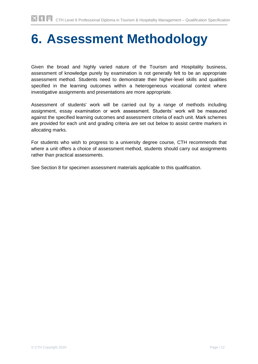# <span id="page-12-0"></span>**6. Assessment Methodology**

Given the broad and highly varied nature of the Tourism and Hospitality business, assessment of knowledge purely by examination is not generally felt to be an appropriate assessment method. Students need to demonstrate their higher-level skills and qualities specified in the learning outcomes within a heterogeneous vocational context where investigative assignments and presentations are more appropriate.

Assessment of students' work will be carried out by a range of methods including assignment, essay examination or work assessment. Students' work will be measured against the specified learning outcomes and assessment criteria of each unit. Mark schemes are provided for each unit and grading criteria are set out below to assist centre markers in allocating marks.

For students who wish to progress to a university degree course, CTH recommends that where a unit offers a choice of assessment method, students should carry out assignments rather than practical assessments.

See Section 8 for specimen assessment materials applicable to this qualification.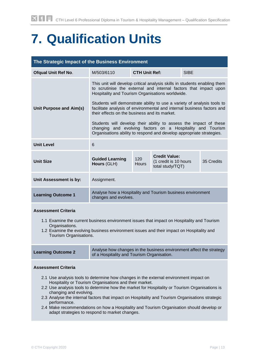# <span id="page-13-0"></span>**7. Qualification Units**

<span id="page-13-1"></span>

| The Strategic Impact of the Business Environment |                                                                                                                                                                                                                                                                                                                                                                                                                                                                                                                                                                                                                    |                      |                                                                   |             |            |  |
|--------------------------------------------------|--------------------------------------------------------------------------------------------------------------------------------------------------------------------------------------------------------------------------------------------------------------------------------------------------------------------------------------------------------------------------------------------------------------------------------------------------------------------------------------------------------------------------------------------------------------------------------------------------------------------|----------------------|-------------------------------------------------------------------|-------------|------------|--|
| <b>Ofqual Unit Ref No.</b>                       | M/503/6110                                                                                                                                                                                                                                                                                                                                                                                                                                                                                                                                                                                                         | <b>CTH Unit Ref:</b> |                                                                   | <b>SIBE</b> |            |  |
| Unit Purpose and Aim(s)                          | This unit will develop critical analysis skills in students enabling them<br>to scrutinise the external and internal factors that impact upon<br>Hospitality and Tourism Organisations worldwide.<br>Students will demonstrate ability to use a variety of analysis tools to<br>facilitate analysis of environmental and internal business factors and<br>their effects on the business and its market.<br>Students will develop their ability to assess the impact of these<br>changing and evolving factors on a Hospitality and Tourism<br>Organisations ability to respond and develop appropriate strategies. |                      |                                                                   |             |            |  |
| <b>Unit Level</b>                                | 6                                                                                                                                                                                                                                                                                                                                                                                                                                                                                                                                                                                                                  |                      |                                                                   |             |            |  |
| <b>Unit Size</b>                                 | <b>Guided Learning</b><br>Hours (GLH)                                                                                                                                                                                                                                                                                                                                                                                                                                                                                                                                                                              | 120<br><b>Hours</b>  | <b>Credit Value:</b><br>(1 credit is 10 hours<br>total study/TQT) |             | 35 Credits |  |
| Unit Assessment is by:                           | Assignment.                                                                                                                                                                                                                                                                                                                                                                                                                                                                                                                                                                                                        |                      |                                                                   |             |            |  |
| <b>Learning Outcome 1</b>                        | Analyse how a Hospitality and Tourism business environment<br>changes and evolves.                                                                                                                                                                                                                                                                                                                                                                                                                                                                                                                                 |                      |                                                                   |             |            |  |

#### **Assessment Criteria**

- 1.1 Examine the current business environment issues that impact on Hospitality and Tourism Organisations.
- 1.2 Examine the evolving business environment issues and their impact on Hospitality and Tourism Organisations.

| <b>Learning Outcome 2</b> | Analyse how changes in the business environment affect the strategy<br>of a Hospitality and Tourism Organisation. |
|---------------------------|-------------------------------------------------------------------------------------------------------------------|
|---------------------------|-------------------------------------------------------------------------------------------------------------------|

#### **Assessment Criteria**

- 2.1 Use analysis tools to determine how changes in the external environment impact on Hospitality or Tourism Organisations and their market.
- 2.2 Use analysis tools to determine how the market for Hospitality or Tourism Organisations is changing and evolving.
- 2.3 Analyse the internal factors that impact on Hospitality and Tourism Organisations strategic performance.
- 2.4 Make recommendations on how a Hospitality and Tourism Organisation should develop or adapt strategies to respond to market changes.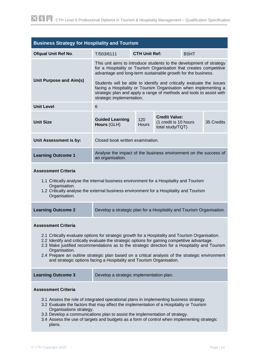<span id="page-14-0"></span>

| <b>Business Strategy for Hospitality and Tourism</b>                                                                                                                                                                                                                                                                                                                                                                                                                                                                          |                                                                                                                                                                                                                                                                                                                                                                                                                                                            |                     |                                                                   |  |            |
|-------------------------------------------------------------------------------------------------------------------------------------------------------------------------------------------------------------------------------------------------------------------------------------------------------------------------------------------------------------------------------------------------------------------------------------------------------------------------------------------------------------------------------|------------------------------------------------------------------------------------------------------------------------------------------------------------------------------------------------------------------------------------------------------------------------------------------------------------------------------------------------------------------------------------------------------------------------------------------------------------|---------------------|-------------------------------------------------------------------|--|------------|
| <b>Ofqual Unit Ref No.</b>                                                                                                                                                                                                                                                                                                                                                                                                                                                                                                    | <b>CTH Unit Ref:</b><br>T/503/6111<br><b>BSHT</b>                                                                                                                                                                                                                                                                                                                                                                                                          |                     |                                                                   |  |            |
| Unit Purpose and Aim(s)                                                                                                                                                                                                                                                                                                                                                                                                                                                                                                       | This unit aims to introduce students to the development of strategy<br>for a Hospitality or Tourism Organisation that creates competitive<br>advantage and long-term sustainable growth for the business.<br>Students will be able to identify and critically evaluate the issues<br>facing a Hospitality or Tourism Organisation when implementing a<br>strategic plan and apply a range of methods and tools to assist with<br>strategic implementation. |                     |                                                                   |  |            |
| <b>Unit Level</b>                                                                                                                                                                                                                                                                                                                                                                                                                                                                                                             | 6                                                                                                                                                                                                                                                                                                                                                                                                                                                          |                     |                                                                   |  |            |
| <b>Unit Size</b>                                                                                                                                                                                                                                                                                                                                                                                                                                                                                                              | <b>Guided Learning</b><br>Hours (GLH)                                                                                                                                                                                                                                                                                                                                                                                                                      | 120<br><b>Hours</b> | <b>Credit Value:</b><br>(1 credit is 10 hours<br>total study/TQT) |  | 35 Credits |
| Unit Assessment is by:                                                                                                                                                                                                                                                                                                                                                                                                                                                                                                        | Closed book written examination.                                                                                                                                                                                                                                                                                                                                                                                                                           |                     |                                                                   |  |            |
| <b>Learning Outcome 1</b>                                                                                                                                                                                                                                                                                                                                                                                                                                                                                                     | Analyse the impact of the business environment on the success of<br>an organisation.                                                                                                                                                                                                                                                                                                                                                                       |                     |                                                                   |  |            |
| <b>Assessment Criteria</b><br>1.1 Critically analyse the internal business environment for a Hospitality and Tourism<br>Organisation.<br>1.2 Critically analyse the external business environment for a Hospitality and Tourism<br>Organisation.                                                                                                                                                                                                                                                                              |                                                                                                                                                                                                                                                                                                                                                                                                                                                            |                     |                                                                   |  |            |
| <b>Learning Outcome 2</b>                                                                                                                                                                                                                                                                                                                                                                                                                                                                                                     | Develop a strategic plan for a Hospitality and Tourism Organisation.                                                                                                                                                                                                                                                                                                                                                                                       |                     |                                                                   |  |            |
| <b>Assessment Criteria</b><br>2.1 Critically evaluate options for strategic growth for a Hospitality and Tourism Organisation.<br>2.2 Identify and critically evaluate the strategic options for gaining competitive advantage.<br>2.3 Make justified recommendations as to the strategic direction for a Hospitality and Tourism<br>Organisation.<br>2.4 Prepare an outline strategic plan based on a critical analysis of the strategic environment<br>and strategic options facing a Hospitality and Tourism Organisation. |                                                                                                                                                                                                                                                                                                                                                                                                                                                            |                     |                                                                   |  |            |
| <b>Learning Outcome 3</b><br>Develop a strategic implementation plan.                                                                                                                                                                                                                                                                                                                                                                                                                                                         |                                                                                                                                                                                                                                                                                                                                                                                                                                                            |                     |                                                                   |  |            |
| <b>Assessment Criteria</b><br>3.1 Assess the role of integrated operational plans in implementing business strategy.<br>3.2 Evaluate the factors that may affect the implementation of a Hospitality or Tourism<br>Organisations strategy.<br>3.3 Develop a communications plan to assist the implementation of strategy.<br>coope the use of terrate and budgets as a ferm of control when implementing etrategie                                                                                                            |                                                                                                                                                                                                                                                                                                                                                                                                                                                            |                     |                                                                   |  |            |

3.4 Assess the use of targets and budgets as a form of control when implementing strategic plans.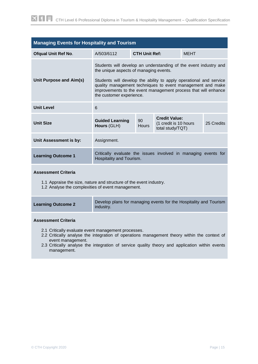<span id="page-15-0"></span>

| <b>Managing Events for Hospitality and Tourism</b>                                                                                                                                                     |                                                                                                                                                                                                                                                                                                                                              |                                                                                         |  |             |            |
|--------------------------------------------------------------------------------------------------------------------------------------------------------------------------------------------------------|----------------------------------------------------------------------------------------------------------------------------------------------------------------------------------------------------------------------------------------------------------------------------------------------------------------------------------------------|-----------------------------------------------------------------------------------------|--|-------------|------------|
| <b>Ofqual Unit Ref No.</b>                                                                                                                                                                             | A/503/6112                                                                                                                                                                                                                                                                                                                                   | <b>CTH Unit Ref:</b>                                                                    |  | <b>MEHT</b> |            |
| Unit Purpose and Aim(s)                                                                                                                                                                                | Students will develop an understanding of the event industry and<br>the unique aspects of managing events.<br>Students will develop the ability to apply operational and service<br>quality management techniques to event management and make<br>improvements to the event management process that will enhance<br>the customer experience. |                                                                                         |  |             |            |
| <b>Unit Level</b>                                                                                                                                                                                      | 6                                                                                                                                                                                                                                                                                                                                            |                                                                                         |  |             |            |
| <b>Unit Size</b>                                                                                                                                                                                       | <b>Guided Learning</b><br>Hours (GLH)                                                                                                                                                                                                                                                                                                        | <b>Credit Value:</b><br>90<br>(1 credit is 10 hours<br><b>Hours</b><br>total study/TQT) |  |             | 25 Credits |
| Unit Assessment is by:                                                                                                                                                                                 | Assignment.                                                                                                                                                                                                                                                                                                                                  |                                                                                         |  |             |            |
| <b>Learning Outcome 1</b>                                                                                                                                                                              | Critically evaluate the issues involved in managing events for<br>Hospitality and Tourism.                                                                                                                                                                                                                                                   |                                                                                         |  |             |            |
| <b>Assessment Criteria</b><br>1.1 Appraise the size, nature and structure of the event industry.<br>1.2 Analyse the complexities of event management.                                                  |                                                                                                                                                                                                                                                                                                                                              |                                                                                         |  |             |            |
| <b>Learning Outcome 2</b>                                                                                                                                                                              | Develop plans for managing events for the Hospitality and Tourism<br>industry.                                                                                                                                                                                                                                                               |                                                                                         |  |             |            |
| <b>Assessment Criteria</b><br>2.1 Critically evaluate event management processes.<br>2.2 Critically analyse the integration of operations management theory within the context of<br>event management. |                                                                                                                                                                                                                                                                                                                                              |                                                                                         |  |             |            |

2.3 Critically analyse the integration of service quality theory and application within events management.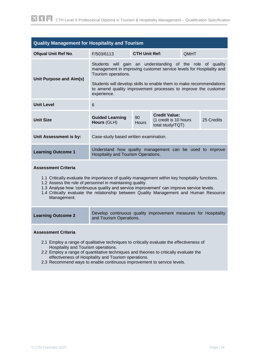<span id="page-16-0"></span>

| <b>Quality Management for Hospitality and Tourism</b> |                                                                                                                                                          |                                     |  |  |            |  |
|-------------------------------------------------------|----------------------------------------------------------------------------------------------------------------------------------------------------------|-------------------------------------|--|--|------------|--|
| <b>Ofqual Unit Ref No.</b>                            | F/503/6113                                                                                                                                               | <b>CTH Unit Ref:</b><br><b>QMHT</b> |  |  |            |  |
| Unit Purpose and Aim(s)                               | Students will gain an understanding of the role of quality<br>management in improving customer service levels for Hospitality and<br>Tourism operations. |                                     |  |  |            |  |
|                                                       | Students will develop skills to enable them to make recommendations<br>to amend quality improvement processes to improve the customer<br>experience.     |                                     |  |  |            |  |
| <b>Unit Level</b>                                     | 6                                                                                                                                                        |                                     |  |  |            |  |
| <b>Unit Size</b>                                      | <b>Credit Value:</b><br>90<br><b>Guided Learning</b><br>(1 credit is 10 hours<br>Hours<br>Hours (GLH)<br>total study/TQT)                                |                                     |  |  | 25 Credits |  |
| Unit Assessment is by:                                | Case-study based written examination.                                                                                                                    |                                     |  |  |            |  |
| <b>Learning Outcome 1</b>                             | Understand how quality management can be used to improve<br>Hospitality and Tourism Operations.                                                          |                                     |  |  |            |  |
|                                                       |                                                                                                                                                          |                                     |  |  |            |  |

#### **Assessment Criteria**

- 1.1 Critically evaluate the importance of quality management within key hospitality functions.
- 1.2 Assess the role of personnel in maintaining quality.
- 1.3 Analyse how 'continuous quality and service improvement' can improve service levels.
- 1.4 Critically evaluate the relationship between Quality Management and Human Resource Management.

| <b>Learning Outcome 2</b>                                                                                                                                                                                                                                                        | Develop continuous quality improvement measures for Hospitality<br>and Tourism Operations. |  |  |  |  |  |
|----------------------------------------------------------------------------------------------------------------------------------------------------------------------------------------------------------------------------------------------------------------------------------|--------------------------------------------------------------------------------------------|--|--|--|--|--|
| <b>Assessment Criteria</b>                                                                                                                                                                                                                                                       |                                                                                            |  |  |  |  |  |
| 2.1 Employ a range of qualitative techniques to critically evaluate the effectiveness of<br>Hospitality and Tourism operations.<br>2.2 Employ a range of quantitative techniques and theories to critically evaluate the<br>effectiveness of Hospitality and Tourism operations. |                                                                                            |  |  |  |  |  |

2.3 Recommend ways to enable continuous improvement to service levels.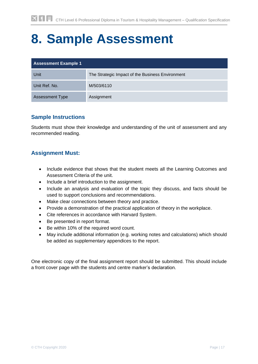# <span id="page-17-0"></span>**8. Sample Assessment**

| <b>Assessment Example 1</b> |                                                  |  |  |  |  |
|-----------------------------|--------------------------------------------------|--|--|--|--|
| Unit                        | The Strategic Impact of the Business Environment |  |  |  |  |
| Unit Ref. No.               | M/503/6110                                       |  |  |  |  |
| <b>Assessment Type</b>      | Assignment                                       |  |  |  |  |

# **Sample Instructions**

Students must show their knowledge and understanding of the unit of assessment and any recommended reading.

# **Assignment Must:**

- Include evidence that shows that the student meets all the Learning Outcomes and Assessment Criteria of the unit.
- Include a brief introduction to the assignment.
- Include an analysis and evaluation of the topic they discuss, and facts should be used to support conclusions and recommendations.
- Make clear connections between theory and practice.
- Provide a demonstration of the practical application of theory in the workplace.
- Cite references in accordance with Harvard System.
- Be presented in report format.
- Be within 10% of the required word count.
- May include additional information (e.g. working notes and calculations) which should be added as supplementary appendices to the report.

One electronic copy of the final assignment report should be submitted. This should include a front cover page with the students and centre marker's declaration.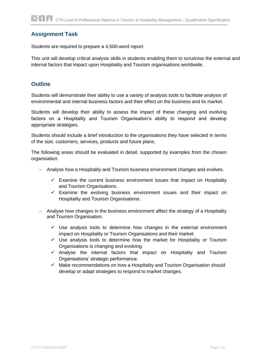# **Assignment Task**

Students are required to prepare a 4,500-word report.

This unit will develop critical analysis skills in students enabling them to scrutinise the external and internal factors that impact upon Hospitality and Tourism organisations worldwide.

# **Outline**

Students will demonstrate their ability to use a variety of analysis tools to facilitate analysis of environmental and internal business factors and their effect on the business and its market.

Students will develop their ability to assess the impact of these changing and evolving factors on a Hospitality and Tourism Organisation's ability to respond and develop appropriate strategies.

Students should include a brief introduction to the organisations they have selected in terms of the size, customers, services, products and future plans.

The following areas should be evaluated in detail, supported by examples from the chosen organisation:

- Analyse how a Hospitality and Tourism business environment changes and evolves.
	- $\checkmark$  Examine the current business environment issues that impact on Hospitality and Tourism Organisations.
	- $\checkmark$  Examine the evolving business environment issues and their impact on Hospitality and Tourism Organisations.
- Analyse how changes in the business environment affect the strategy of a Hospitality and Tourism Organisation.
	- $\checkmark$  Use analysis tools to determine how changes in the external environment impact on Hospitality or Tourism Organisations and their market.
	- $\checkmark$  Use analysis tools to determine how the market for Hospitality or Tourism Organisations is changing and evolving.
	- $\checkmark$  Analyse the internal factors that impact on Hospitality and Tourism Organisations' strategic performance.
	- $\checkmark$  Make recommendations on how a Hospitality and Tourism Organisation should develop or adapt strategies to respond to market changes.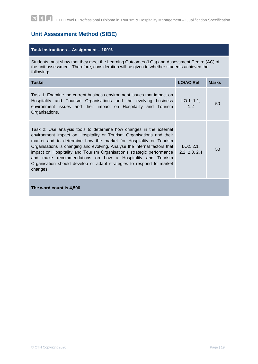# **Unit Assessment Method (SIBE)**

#### **Task Instructions – Assignment – 100%**

Students must show that they meet the Learning Outcomes (LOs) and Assessment Centre (AC) of the unit assessment. Therefore, consideration will be given to whether students achieved the following:

| <b>Tasks</b>                                                                                                                                                                                                                                                                                                                                                                                                                                                                                                             | <b>LO/AC Ref</b>          | <b>Marks</b> |
|--------------------------------------------------------------------------------------------------------------------------------------------------------------------------------------------------------------------------------------------------------------------------------------------------------------------------------------------------------------------------------------------------------------------------------------------------------------------------------------------------------------------------|---------------------------|--------------|
| Task 1: Examine the current business environment issues that impact on<br>Hospitality and Tourism Organisations and the evolving business<br>environment issues and their impact on Hospitality and Tourism<br>Organisations.                                                                                                                                                                                                                                                                                            | $LO$ 1.1.1,<br>1.2        | 50           |
| Task 2: Use analysis tools to determine how changes in the external<br>environment impact on Hospitality or Tourism Organisations and their<br>market and to determine how the market for Hospitality or Tourism<br>Organisations is changing and evolving. Analyse the internal factors that<br>impact on Hospitality and Tourism Organisation's strategic performance<br>and make recommendations on how a Hospitality and Tourism<br>Organisation should develop or adapt strategies to respond to market<br>changes. | LO2.2.1,<br>2.2, 2.3, 2.4 | 50           |
| The word count is 4,500                                                                                                                                                                                                                                                                                                                                                                                                                                                                                                  |                           |              |